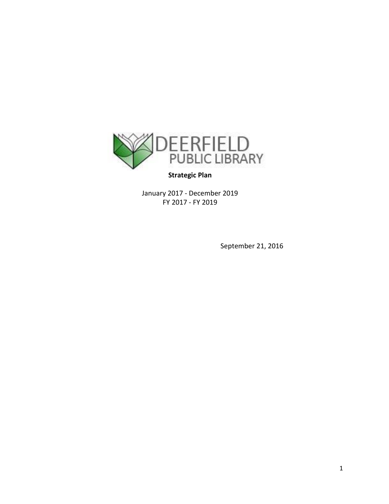

## **Strategic Plan**

January 2017 - December 2019 FY 2017 - FY 2019

September 21, 2016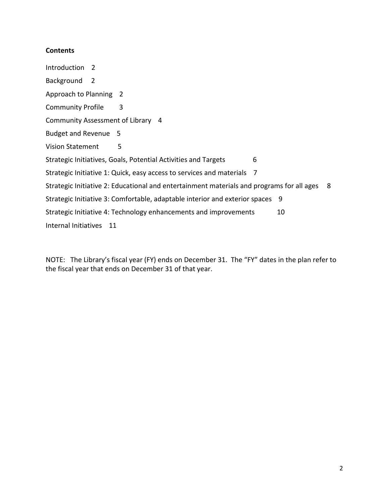### **Contents**

Introduction 2 Background 2 Approach to Planning 2 Community Profile 3 Community Assessment of Library 4 Budget and Revenue 5 Vision Statement 5 Strategic Initiatives, Goals, Potential Activities and Targets 6 Strategic Initiative 1: Quick, easy access to services and materials 7 Strategic Initiative 2: Educational and entertainment materials and programs for all ages 8 Strategic Initiative 3: Comfortable, adaptable interior and exterior spaces 9 Strategic Initiative 4: Technology enhancements and improvements 10 Internal Initiatives 11

NOTE: The Library's fiscal year (FY) ends on December 31. The "FY" dates in the plan refer to the fiscal year that ends on December 31 of that year.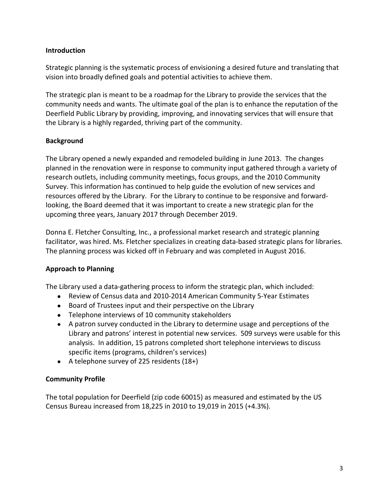## **Introduction**

Strategic planning is the systematic process of envisioning a desired future and translating that vision into broadly defined goals and potential activities to achieve them.

The strategic plan is meant to be a roadmap for the Library to provide the services that the community needs and wants. The ultimate goal of the plan is to enhance the reputation of the Deerfield Public Library by providing, improving, and innovating services that will ensure that the Library is a highly regarded, thriving part of the community.

## **Background**

The Library opened a newly expanded and remodeled building in June 2013. The changes planned in the renovation were in response to community input gathered through a variety of research outlets, including community meetings, focus groups, and the 2010 Community Survey. This information has continued to help guide the evolution of new services and resources offered by the Library. For the Library to continue to be responsive and forwardlooking, the Board deemed that it was important to create a new strategic plan for the upcoming three years, January 2017 through December 2019.

Donna E. Fletcher Consulting, Inc., a professional market research and strategic planning facilitator, was hired. Ms. Fletcher specializes in creating data-based strategic plans for libraries. The planning process was kicked off in February and was completed in August 2016.

## **Approach to Planning**

The Library used a data-gathering process to inform the strategic plan, which included:

- Review of Census data and 2010-2014 American Community 5-Year Estimates
- Board of Trustees input and their perspective on the Library
- Telephone interviews of 10 community stakeholders
- A patron survey conducted in the Library to determine usage and perceptions of the Library and patrons' interest in potential new services. 509 surveys were usable for this analysis. In addition, 15 patrons completed short telephone interviews to discuss specific items (programs, children's services)
- A telephone survey of 225 residents  $(18+)$

## **Community Profile**

The total population for Deerfield (zip code 60015) as measured and estimated by the US Census Bureau increased from 18,225 in 2010 to 19,019 in 2015 (+4.3%).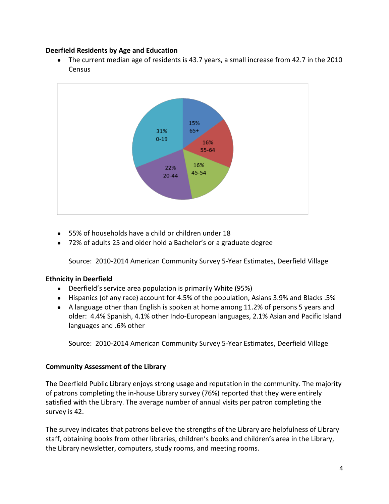## **Deerfield Residents by Age and Education**

The current median age of residents is 43.7 years, a small increase from 42.7 in the 2010 **Census** 



- 55% of households have a child or children under 18
- 72% of adults 25 and older hold a Bachelor's or a graduate degree

Source: 2010-2014 American Community Survey 5-Year Estimates, Deerfield Village

## **Ethnicity in Deerfield**

- Deerfield's service area population is primarily White (95%)
- Hispanics (of any race) account for 4.5% of the population, Asians 3.9% and Blacks .5%
- A language other than English is spoken at home among 11.2% of persons 5 years and older: 4.4% Spanish, 4.1% other Indo-European languages, 2.1% Asian and Pacific Island languages and .6% other

Source: 2010-2014 American Community Survey 5-Year Estimates, Deerfield Village

## **Community Assessment of the Library**

The Deerfield Public Library enjoys strong usage and reputation in the community. The majority of patrons completing the in-house Library survey (76%) reported that they were entirely satisfied with the Library. The average number of annual visits per patron completing the survey is 42.

The survey indicates that patrons believe the strengths of the Library are helpfulness of Library staff, obtaining books from other libraries, children's books and children's area in the Library, the Library newsletter, computers, study rooms, and meeting rooms.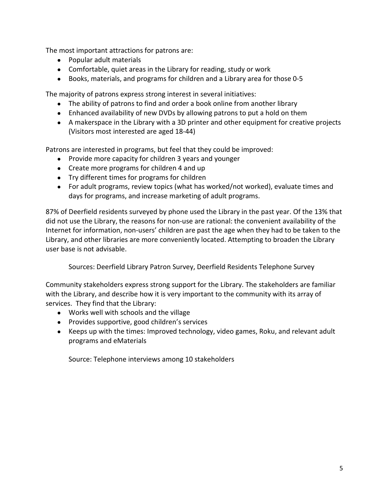The most important attractions for patrons are:

- Popular adult materials
- Comfortable, quiet areas in the Library for reading, study or work
- Books, materials, and programs for children and a Library area for those 0-5

The majority of patrons express strong interest in several initiatives:

- The ability of patrons to find and order a book online from another library
- Enhanced availability of new DVDs by allowing patrons to put a hold on them
- A makerspace in the Library with a 3D printer and other equipment for creative projects (Visitors most interested are aged 18-44)

Patrons are interested in programs, but feel that they could be improved:

- Provide more capacity for children 3 years and younger
- Create more programs for children 4 and up
- Try different times for programs for children
- For adult programs, review topics (what has worked/not worked), evaluate times and days for programs, and increase marketing of adult programs.

87% of Deerfield residents surveyed by phone used the Library in the past year. Of the 13% that did not use the Library, the reasons for non-use are rational: the convenient availability of the Internet for information, non-users' children are past the age when they had to be taken to the Library, and other libraries are more conveniently located. Attempting to broaden the Library user base is not advisable.

Sources: Deerfield Library Patron Survey, Deerfield Residents Telephone Survey

Community stakeholders express strong support for the Library. The stakeholders are familiar with the Library, and describe how it is very important to the community with its array of services. They find that the Library:

- Works well with schools and the village
- Provides supportive, good children's services
- Keeps up with the times: Improved technology, video games, Roku, and relevant adult programs and eMaterials

Source: Telephone interviews among 10 stakeholders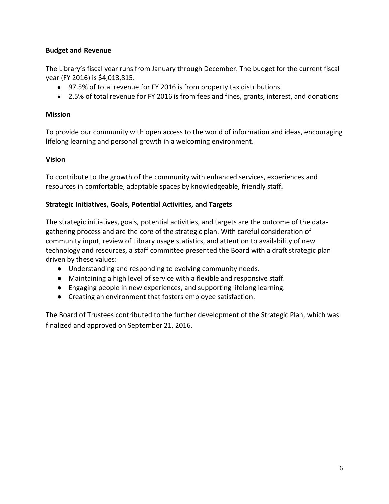## **Budget and Revenue**

The Library's fiscal year runs from January through December. The budget for the current fiscal year (FY 2016) is \$4,013,815.

- 97.5% of total revenue for FY 2016 is from property tax distributions
- 2.5% of total revenue for FY 2016 is from fees and fines, grants, interest, and donations

## **Mission**

To provide our community with open access to the world of information and ideas, encouraging lifelong learning and personal growth in a welcoming environment.

## **Vision**

To contribute to the growth of the community with enhanced services, experiences and resources in comfortable, adaptable spaces by knowledgeable, friendly staff**.** 

## **Strategic Initiatives, Goals, Potential Activities, and Targets**

The strategic initiatives, goals, potential activities, and targets are the outcome of the datagathering process and are the core of the strategic plan. With careful consideration of community input, review of Library usage statistics, and attention to availability of new technology and resources, a staff committee presented the Board with a draft strategic plan driven by these values:

- Understanding and responding to evolving community needs.
- Maintaining a high level of service with a flexible and responsive staff.
- Engaging people in new experiences, and supporting lifelong learning.
- Creating an environment that fosters employee satisfaction.

The Board of Trustees contributed to the further development of the Strategic Plan, which was finalized and approved on September 21, 2016.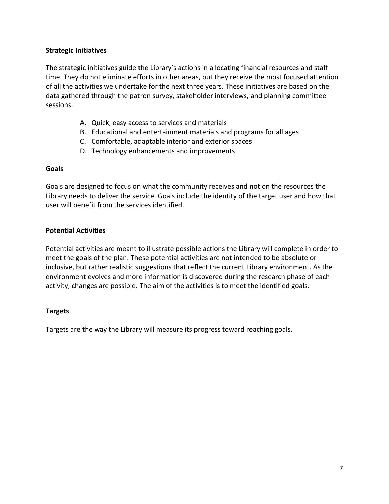## **Strategic Initiatives**

The strategic initiatives guide the Library's actions in allocating financial resources and staff time. They do not eliminate efforts in other areas, but they receive the most focused attention of all the activities we undertake for the next three years. These initiatives are based on the data gathered through the patron survey, stakeholder interviews, and planning committee sessions.

- A. Quick, easy access to services and materials
- B. Educational and entertainment materials and programs for all ages
- C. Comfortable, adaptable interior and exterior spaces
- D. Technology enhancements and improvements

### **Goals**

Goals are designed to focus on what the community receives and not on the resources the Library needs to deliver the service. Goals include the identity of the target user and how that user will benefit from the services identified.

## **Potential Activities**

Potential activities are meant to illustrate possible actions the Library will complete in order to meet the goals of the plan. These potential activities are not intended to be absolute or inclusive, but rather realistic suggestions that reflect the current Library environment. As the environment evolves and more information is discovered during the research phase of each activity, changes are possible. The aim of the activities is to meet the identified goals.

## **Targets**

Targets are the way the Library will measure its progress toward reaching goals.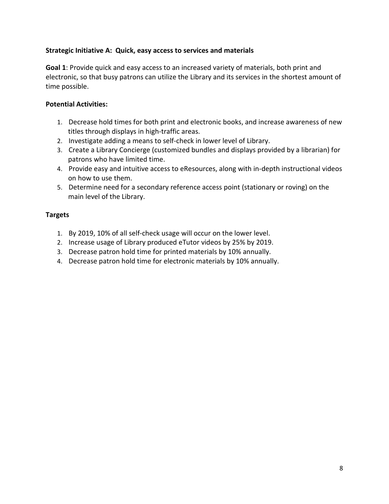## **Strategic Initiative A: Quick, easy access to services and materials**

**Goal 1**: Provide quick and easy access to an increased variety of materials, both print and electronic, so that busy patrons can utilize the Library and its services in the shortest amount of time possible.

## **Potential Activities:**

- 1. Decrease hold times for both print and electronic books, and increase awareness of new titles through displays in high-traffic areas.
- 2. Investigate adding a means to self-check in lower level of Library.
- 3. Create a Library Concierge (customized bundles and displays provided by a librarian) for patrons who have limited time.
- 4. Provide easy and intuitive access to eResources, along with in-depth instructional videos on how to use them.
- 5. Determine need for a secondary reference access point (stationary or roving) on the main level of the Library.

## **Targets**

- 1. By 2019, 10% of all self-check usage will occur on the lower level.
- 2. Increase usage of Library produced eTutor videos by 25% by 2019.
- 3. Decrease patron hold time for printed materials by 10% annually.
- 4. Decrease patron hold time for electronic materials by 10% annually.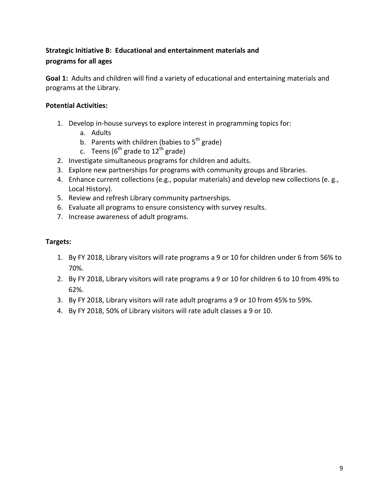# **Strategic Initiative B: Educational and entertainment materials and programs for all ages**

**Goal 1:** Adults and children will find a variety of educational and entertaining materials and programs at the Library.

## **Potential Activities:**

- 1. Develop in-house surveys to explore interest in programming topics for:
	- a. Adults
	- b. Parents with children (babies to  $5<sup>th</sup>$  grade)
	- c. Teens ( $6<sup>th</sup>$  grade to 12<sup>th</sup> grade)
- 2. Investigate simultaneous programs for children and adults.
- 3. Explore new partnerships for programs with community groups and libraries.
- 4. Enhance current collections (e.g., popular materials) and develop new collections (e. g., Local History).
- 5. Review and refresh Library community partnerships.
- 6. Evaluate all programs to ensure consistency with survey results.
- 7. Increase awareness of adult programs.

## **Targets:**

- 1. By FY 2018, Library visitors will rate programs a 9 or 10 for children under 6 from 56% to 70%.
- 2. By FY 2018, Library visitors will rate programs a 9 or 10 for children 6 to 10 from 49% to 62%.
- 3. By FY 2018, Library visitors will rate adult programs a 9 or 10 from 45% to 59%.
- 4. By FY 2018, 50% of Library visitors will rate adult classes a 9 or 10.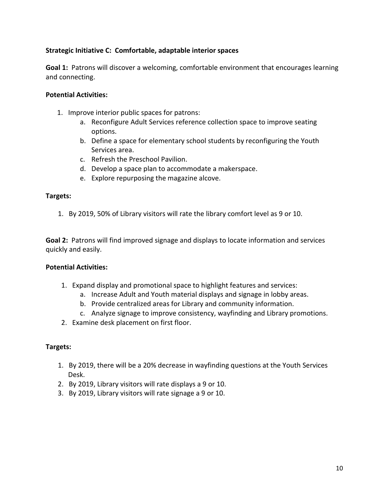## **Strategic Initiative C: Comfortable, adaptable interior spaces**

**Goal 1:** Patrons will discover a welcoming, comfortable environment that encourages learning and connecting.

## **Potential Activities:**

- 1. Improve interior public spaces for patrons:
	- a. Reconfigure Adult Services reference collection space to improve seating options.
	- b. Define a space for elementary school students by reconfiguring the Youth Services area.
	- c. Refresh the Preschool Pavilion.
	- d. Develop a space plan to accommodate a makerspace.
	- e. Explore repurposing the magazine alcove.

## **Targets:**

1. By 2019, 50% of Library visitors will rate the library comfort level as 9 or 10.

**Goal 2:** Patrons will find improved signage and displays to locate information and services quickly and easily.

### **Potential Activities:**

- 1. Expand display and promotional space to highlight features and services:
	- a. Increase Adult and Youth material displays and signage in lobby areas.
	- b. Provide centralized areas for Library and community information.
	- c. Analyze signage to improve consistency, wayfinding and Library promotions.
- 2. Examine desk placement on first floor.

### **Targets:**

- 1. By 2019, there will be a 20% decrease in wayfinding questions at the Youth Services Desk.
- 2. By 2019, Library visitors will rate displays a 9 or 10.
- 3. By 2019, Library visitors will rate signage a 9 or 10.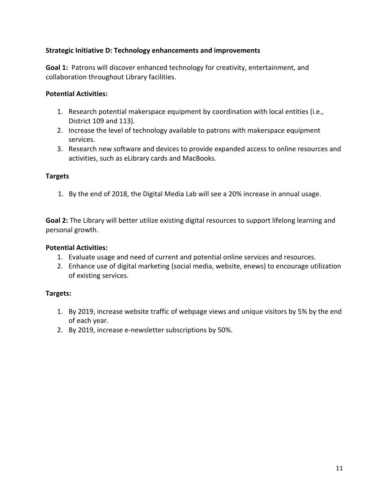## **Strategic Initiative D: Technology enhancements and improvements**

**Goal 1:** Patrons will discover enhanced technology for creativity, entertainment, and collaboration throughout Library facilities.

### **Potential Activities:**

- 1. Research potential makerspace equipment by coordination with local entities (i.e., District 109 and 113).
- 2. Increase the level of technology available to patrons with makerspace equipment services.
- 3. Research new software and devices to provide expanded access to online resources and activities, such as eLibrary cards and MacBooks.

### **Targets**

1. By the end of 2018, the Digital Media Lab will see a 20% increase in annual usage.

**Goal 2:** The Library will better utilize existing digital resources to support lifelong learning and personal growth.

## **Potential Activities:**

- 1. Evaluate usage and need of current and potential online services and resources.
- 2. Enhance use of digital marketing (social media, website, enews) to encourage utilization of existing services.

## **Targets:**

- 1. By 2019, increase website traffic of webpage views and unique visitors by 5% by the end of each year.
- 2. By 2019, increase e-newsletter subscriptions by 50%.